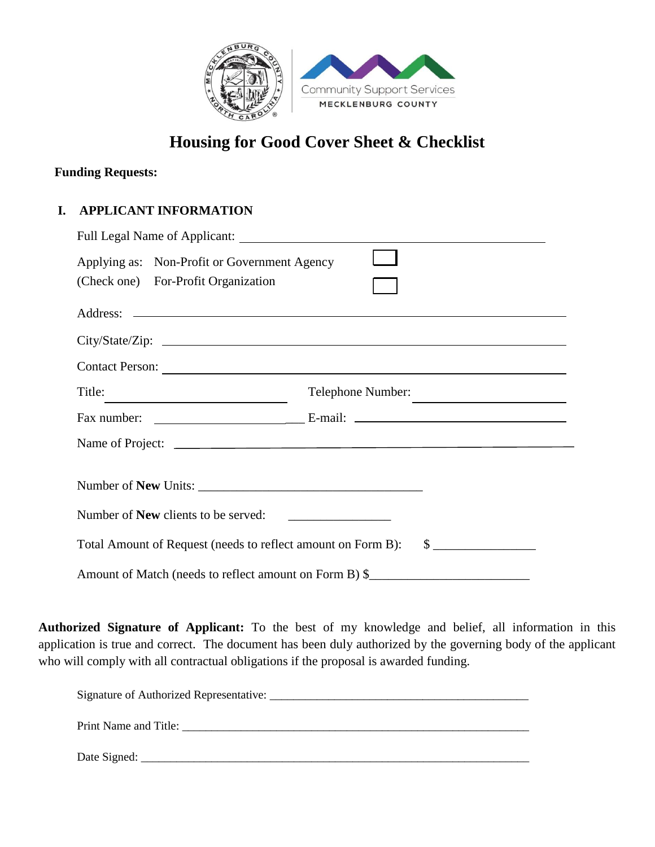

## **Housing for Good Cover Sheet & Checklist**

## **Funding Requests:**

## **I. APPLICANT INFORMATION**

| Applying as: Non-Profit or Government Agency                 |                                            |  |
|--------------------------------------------------------------|--------------------------------------------|--|
| (Check one) For-Profit Organization                          |                                            |  |
|                                                              |                                            |  |
|                                                              |                                            |  |
| Contact Person:                                              |                                            |  |
| Title:                                                       | Telephone Number:                          |  |
|                                                              |                                            |  |
|                                                              |                                            |  |
|                                                              |                                            |  |
| Number of <b>New</b> clients to be served:                   | <u> 1980 - Johann Barn, mars ann an t-</u> |  |
| Total Amount of Request (needs to reflect amount on Form B): | $\frac{\text{S}}{\text{S}}$                |  |
| Amount of Match (needs to reflect amount on Form B) \$       |                                            |  |

**Authorized Signature of Applicant:** To the best of my knowledge and belief, all information in this application is true and correct. The document has been duly authorized by the governing body of the applicant who will comply with all contractual obligations if the proposal is awarded funding.

| Signature of Authorized Representative: |
|-----------------------------------------|
| Print Name and Title:                   |
| Date Signed:                            |